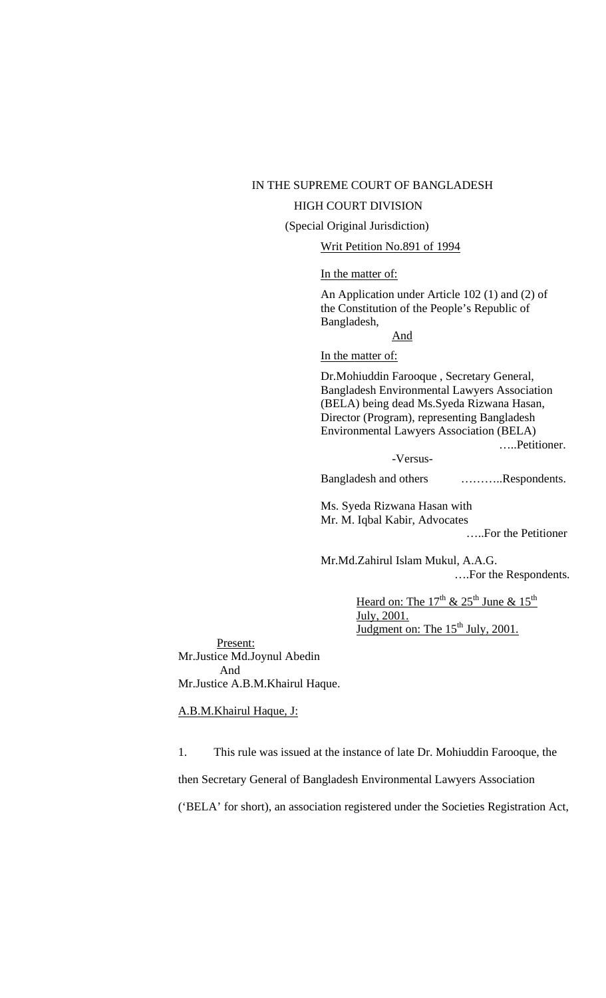## IN THE SUPREME COURT OF BANGLADESH

## HIGH COURT DIVISION

(Special Original Jurisdiction)

Writ Petition No.891 of 1994

In the matter of:

An Application under Article 102 (1) and (2) of the Constitution of the People's Republic of Bangladesh,

## And

In the matter of:

Dr.Mohiuddin Farooque , Secretary General, Bangladesh Environmental Lawyers Association (BELA) being dead Ms.Syeda Rizwana Hasan, Director (Program), representing Bangladesh Environmental Lawyers Association (BELA) …..Petitioner.

-Versus-

Bangladesh and others ………..Respondents.

Ms. Syeda Rizwana Hasan with Mr. M. Iqbal Kabir, Advocates

…..For the Petitioner

Mr.Md.Zahirul Islam Mukul, A.A.G. ….For the Respondents.

> Heard on: The  $17^{\text{th}}$  &  $25^{\text{th}}$  June &  $15^{\text{th}}$ July, 2001. Judgment on: The  $15<sup>th</sup>$  July, 2001.

 Present: Mr.Justice Md.Joynul Abedin And Mr.Justice A.B.M.Khairul Haque.

A.B.M.Khairul Haque, J:

1. This rule was issued at the instance of late Dr. Mohiuddin Farooque, the

then Secretary General of Bangladesh Environmental Lawyers Association

('BELA' for short), an association registered under the Societies Registration Act,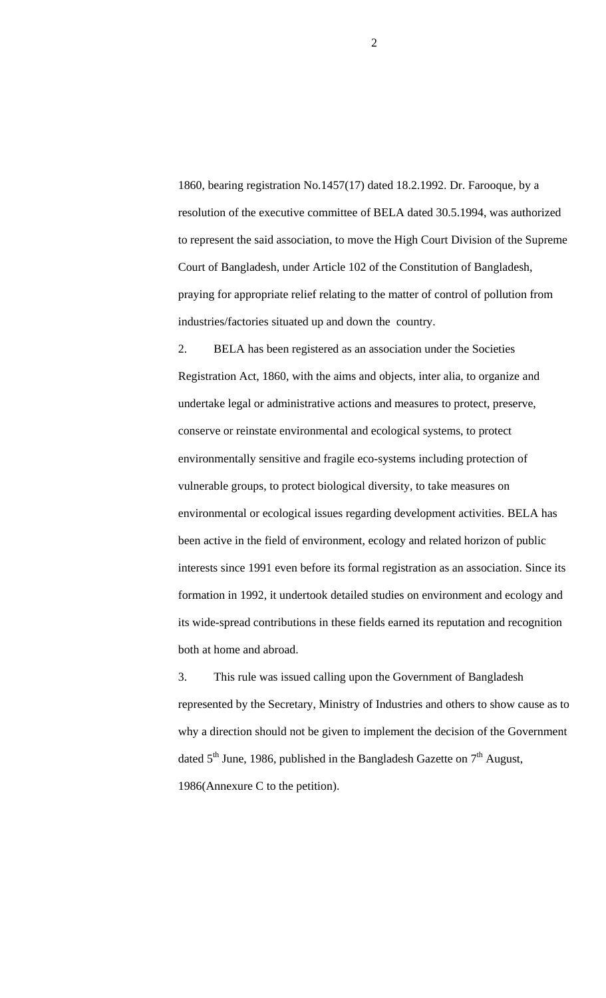1860, bearing registration No.1457(17) dated 18.2.1992. Dr. Farooque, by a resolution of the executive committee of BELA dated 30.5.1994, was authorized to represent the said association, to move the High Court Division of the Supreme Court of Bangladesh, under Article 102 of the Constitution of Bangladesh, praying for appropriate relief relating to the matter of control of pollution from industries/factories situated up and down the country.

2. BELA has been registered as an association under the Societies Registration Act, 1860, with the aims and objects, inter alia, to organize and undertake legal or administrative actions and measures to protect, preserve, conserve or reinstate environmental and ecological systems, to protect environmentally sensitive and fragile eco-systems including protection of vulnerable groups, to protect biological diversity, to take measures on environmental or ecological issues regarding development activities. BELA has been active in the field of environment, ecology and related horizon of public interests since 1991 even before its formal registration as an association. Since its formation in 1992, it undertook detailed studies on environment and ecology and its wide-spread contributions in these fields earned its reputation and recognition both at home and abroad.

3. This rule was issued calling upon the Government of Bangladesh represented by the Secretary, Ministry of Industries and others to show cause as to why a direction should not be given to implement the decision of the Government dated  $5<sup>th</sup>$  June, 1986, published in the Bangladesh Gazette on  $7<sup>th</sup>$  August, 1986(Annexure C to the petition).

2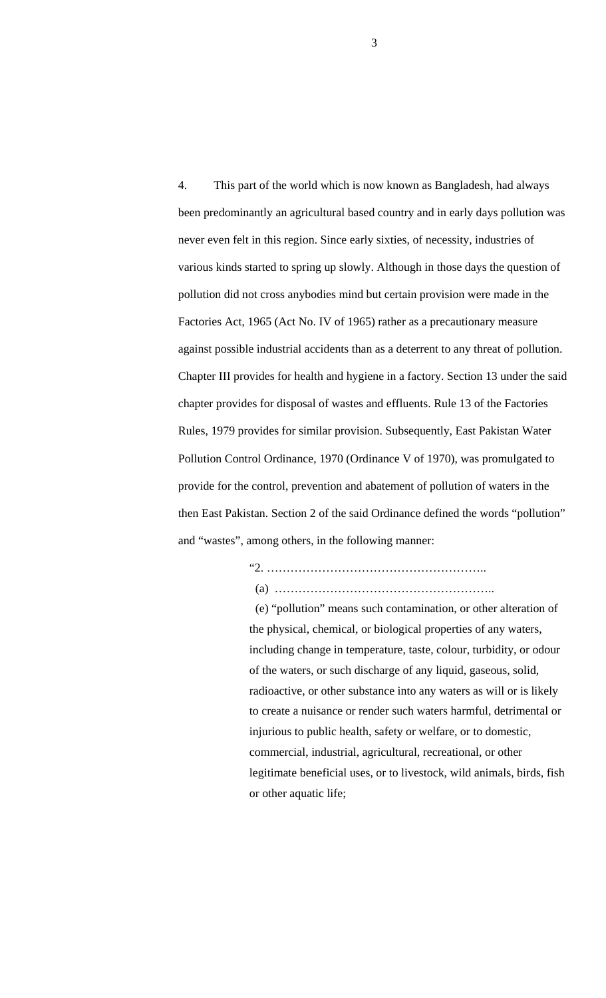4. This part of the world which is now known as Bangladesh, had always been predominantly an agricultural based country and in early days pollution was never even felt in this region. Since early sixties, of necessity, industries of various kinds started to spring up slowly. Although in those days the question of pollution did not cross anybodies mind but certain provision were made in the Factories Act, 1965 (Act No. IV of 1965) rather as a precautionary measure against possible industrial accidents than as a deterrent to any threat of pollution. Chapter III provides for health and hygiene in a factory. Section 13 under the said chapter provides for disposal of wastes and effluents. Rule 13 of the Factories Rules, 1979 provides for similar provision. Subsequently, East Pakistan Water Pollution Control Ordinance, 1970 (Ordinance V of 1970), was promulgated to provide for the control, prevention and abatement of pollution of waters in the then East Pakistan. Section 2 of the said Ordinance defined the words "pollution" and "wastes", among others, in the following manner:

> "2. ……………………………………………….. (a) ………………………………………………..

 (e) "pollution" means such contamination, or other alteration of the physical, chemical, or biological properties of any waters, including change in temperature, taste, colour, turbidity, or odour of the waters, or such discharge of any liquid, gaseous, solid, radioactive, or other substance into any waters as will or is likely to create a nuisance or render such waters harmful, detrimental or injurious to public health, safety or welfare, or to domestic, commercial, industrial, agricultural, recreational, or other legitimate beneficial uses, or to livestock, wild animals, birds, fish or other aquatic life;

3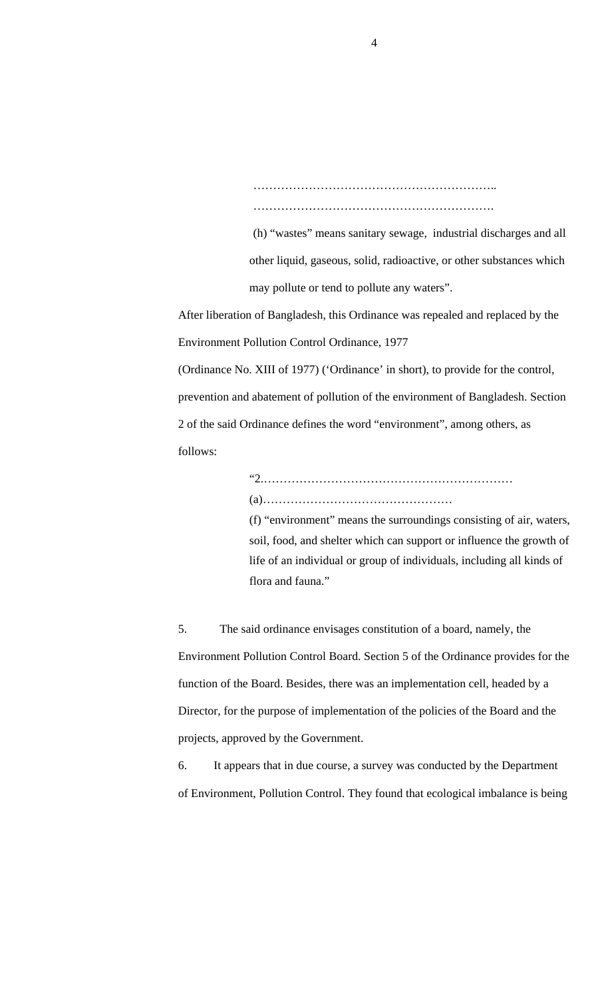…………………………………………………….. …………………………………………………….

(h) "wastes" means sanitary sewage, industrial discharges and all other liquid, gaseous, solid, radioactive, or other substances which may pollute or tend to pollute any waters".

After liberation of Bangladesh, this Ordinance was repealed and replaced by the Environment Pollution Control Ordinance, 1977

(Ordinance No. XIII of 1977) ('Ordinance' in short), to provide for the control, prevention and abatement of pollution of the environment of Bangladesh. Section 2 of the said Ordinance defines the word "environment", among others, as follows:

> "2.……………………………………………………… (a)………………………………………… (f) "environment" means the surroundings consisting of air, waters,

> soil, food, and shelter which can support or influence the growth of life of an individual or group of individuals, including all kinds of flora and fauna."

5. The said ordinance envisages constitution of a board, namely, the Environment Pollution Control Board. Section 5 of the Ordinance provides for the function of the Board. Besides, there was an implementation cell, headed by a Director, for the purpose of implementation of the policies of the Board and the projects, approved by the Government.

6. It appears that in due course, a survey was conducted by the Department of Environment, Pollution Control. They found that ecological imbalance is being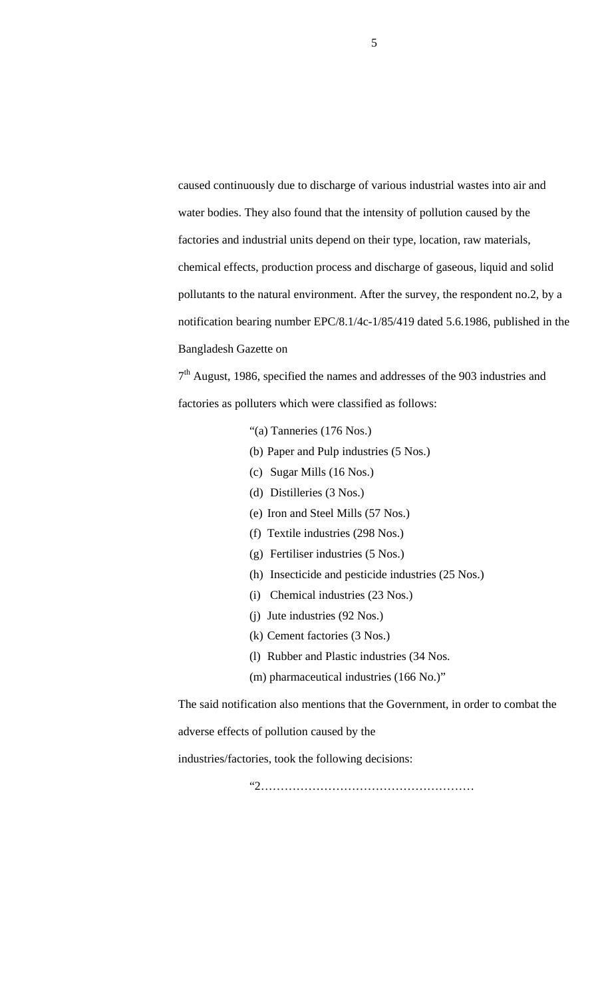caused continuously due to discharge of various industrial wastes into air and water bodies. They also found that the intensity of pollution caused by the factories and industrial units depend on their type, location, raw materials, chemical effects, production process and discharge of gaseous, liquid and solid pollutants to the natural environment. After the survey, the respondent no.2, by a notification bearing number EPC/8.1/4c-1/85/419 dated 5.6.1986, published in the Bangladesh Gazette on

 $7<sup>th</sup>$  August, 1986, specified the names and addresses of the 903 industries and factories as polluters which were classified as follows:

"(a) Tanneries (176 Nos.)

- (b) Paper and Pulp industries (5 Nos.)
- (c) Sugar Mills (16 Nos.)
- (d) Distilleries (3 Nos.)
- (e) Iron and Steel Mills (57 Nos.)
- (f) Textile industries (298 Nos.)
- (g) Fertiliser industries (5 Nos.)
- (h) Insecticide and pesticide industries (25 Nos.)
- (i) Chemical industries (23 Nos.)
- (j) Jute industries (92 Nos.)
- (k) Cement factories (3 Nos.)
- (l) Rubber and Plastic industries (34 Nos.
- (m) pharmaceutical industries (166 No.)"

The said notification also mentions that the Government, in order to combat the

adverse effects of pollution caused by the

industries/factories, took the following decisions:

"2………………………………………………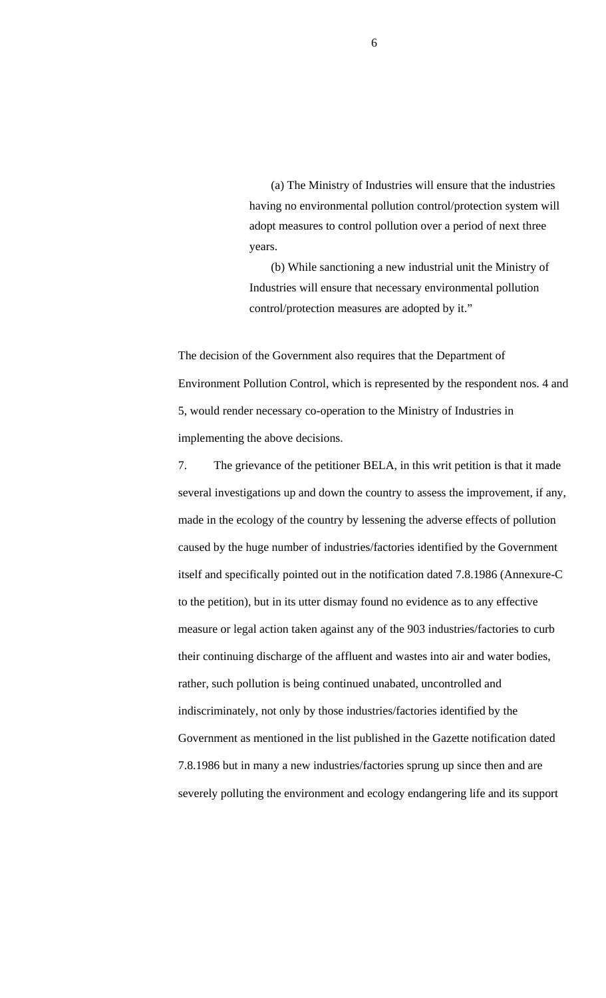(a) The Ministry of Industries will ensure that the industries having no environmental pollution control/protection system will adopt measures to control pollution over a period of next three years.

(b) While sanctioning a new industrial unit the Ministry of Industries will ensure that necessary environmental pollution control/protection measures are adopted by it."

The decision of the Government also requires that the Department of Environment Pollution Control, which is represented by the respondent nos. 4 and 5, would render necessary co-operation to the Ministry of Industries in implementing the above decisions.

7. The grievance of the petitioner BELA, in this writ petition is that it made several investigations up and down the country to assess the improvement, if any, made in the ecology of the country by lessening the adverse effects of pollution caused by the huge number of industries/factories identified by the Government itself and specifically pointed out in the notification dated 7.8.1986 (Annexure-C to the petition), but in its utter dismay found no evidence as to any effective measure or legal action taken against any of the 903 industries/factories to curb their continuing discharge of the affluent and wastes into air and water bodies, rather, such pollution is being continued unabated, uncontrolled and indiscriminately, not only by those industries/factories identified by the Government as mentioned in the list published in the Gazette notification dated 7.8.1986 but in many a new industries/factories sprung up since then and are severely polluting the environment and ecology endangering life and its support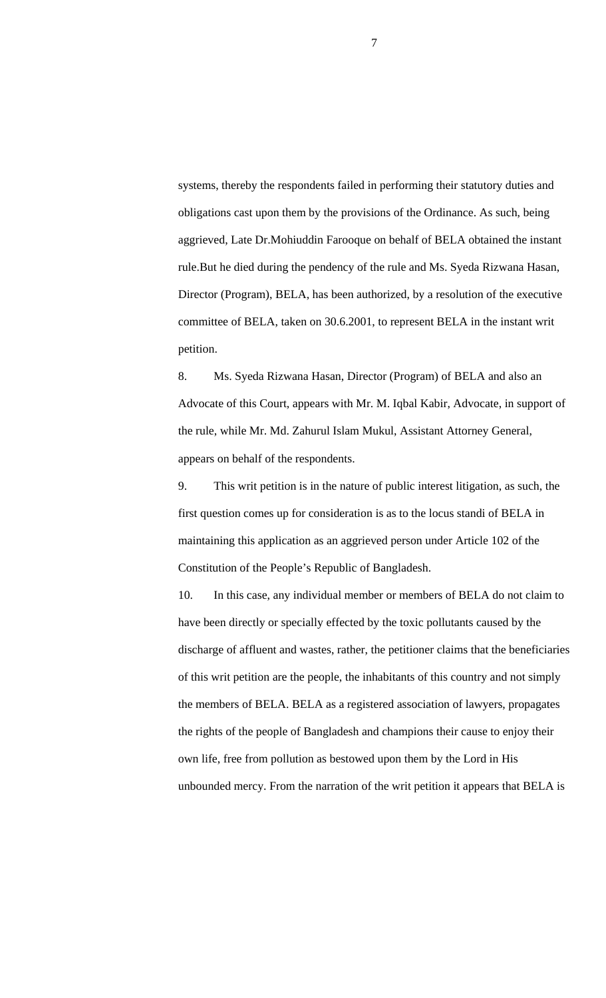systems, thereby the respondents failed in performing their statutory duties and obligations cast upon them by the provisions of the Ordinance. As such, being aggrieved, Late Dr.Mohiuddin Farooque on behalf of BELA obtained the instant rule.But he died during the pendency of the rule and Ms. Syeda Rizwana Hasan, Director (Program), BELA, has been authorized, by a resolution of the executive committee of BELA, taken on 30.6.2001, to represent BELA in the instant writ petition.

8. Ms. Syeda Rizwana Hasan, Director (Program) of BELA and also an Advocate of this Court, appears with Mr. M. Iqbal Kabir, Advocate, in support of the rule, while Mr. Md. Zahurul Islam Mukul, Assistant Attorney General, appears on behalf of the respondents.

9. This writ petition is in the nature of public interest litigation, as such, the first question comes up for consideration is as to the locus standi of BELA in maintaining this application as an aggrieved person under Article 102 of the Constitution of the People's Republic of Bangladesh.

10. In this case, any individual member or members of BELA do not claim to have been directly or specially effected by the toxic pollutants caused by the discharge of affluent and wastes, rather, the petitioner claims that the beneficiaries of this writ petition are the people, the inhabitants of this country and not simply the members of BELA. BELA as a registered association of lawyers, propagates the rights of the people of Bangladesh and champions their cause to enjoy their own life, free from pollution as bestowed upon them by the Lord in His unbounded mercy. From the narration of the writ petition it appears that BELA is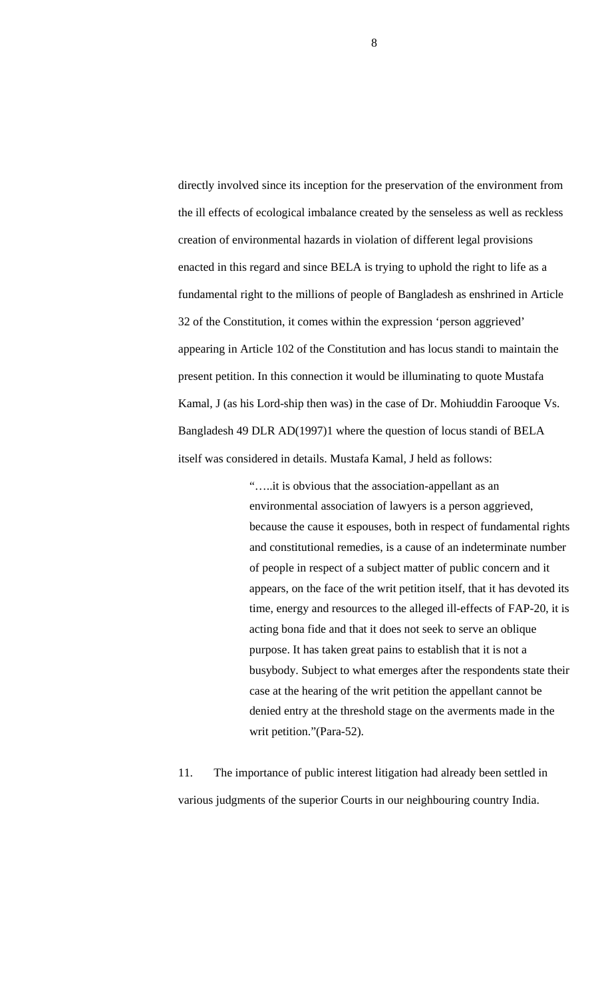directly involved since its inception for the preservation of the environment from the ill effects of ecological imbalance created by the senseless as well as reckless creation of environmental hazards in violation of different legal provisions enacted in this regard and since BELA is trying to uphold the right to life as a fundamental right to the millions of people of Bangladesh as enshrined in Article 32 of the Constitution, it comes within the expression 'person aggrieved' appearing in Article 102 of the Constitution and has locus standi to maintain the present petition. In this connection it would be illuminating to quote Mustafa Kamal, J (as his Lord-ship then was) in the case of Dr. Mohiuddin Farooque Vs. Bangladesh 49 DLR AD(1997)1 where the question of locus standi of BELA itself was considered in details. Mustafa Kamal, J held as follows:

> "…..it is obvious that the association-appellant as an environmental association of lawyers is a person aggrieved, because the cause it espouses, both in respect of fundamental rights and constitutional remedies, is a cause of an indeterminate number of people in respect of a subject matter of public concern and it appears, on the face of the writ petition itself, that it has devoted its time, energy and resources to the alleged ill-effects of FAP-20, it is acting bona fide and that it does not seek to serve an oblique purpose. It has taken great pains to establish that it is not a busybody. Subject to what emerges after the respondents state their case at the hearing of the writ petition the appellant cannot be denied entry at the threshold stage on the averments made in the writ petition."(Para-52).

11. The importance of public interest litigation had already been settled in various judgments of the superior Courts in our neighbouring country India.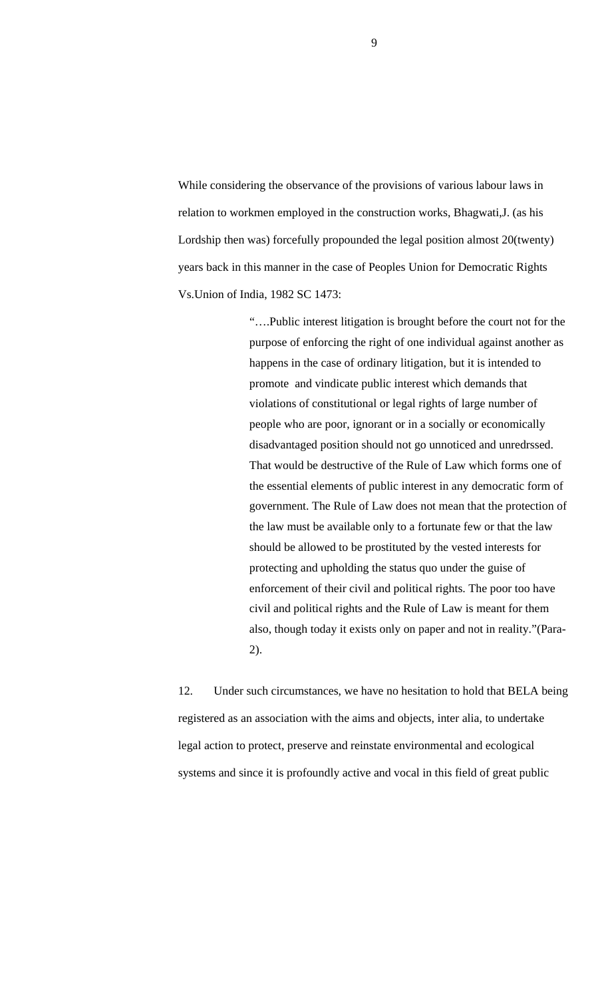While considering the observance of the provisions of various labour laws in relation to workmen employed in the construction works, Bhagwati,J. (as his Lordship then was) forcefully propounded the legal position almost 20(twenty) years back in this manner in the case of Peoples Union for Democratic Rights Vs.Union of India, 1982 SC 1473:

> "….Public interest litigation is brought before the court not for the purpose of enforcing the right of one individual against another as happens in the case of ordinary litigation, but it is intended to promote and vindicate public interest which demands that violations of constitutional or legal rights of large number of people who are poor, ignorant or in a socially or economically disadvantaged position should not go unnoticed and unredrssed. That would be destructive of the Rule of Law which forms one of the essential elements of public interest in any democratic form of government. The Rule of Law does not mean that the protection of the law must be available only to a fortunate few or that the law should be allowed to be prostituted by the vested interests for protecting and upholding the status quo under the guise of enforcement of their civil and political rights. The poor too have civil and political rights and the Rule of Law is meant for them also, though today it exists only on paper and not in reality."(Para-2).

12. Under such circumstances, we have no hesitation to hold that BELA being registered as an association with the aims and objects, inter alia, to undertake legal action to protect, preserve and reinstate environmental and ecological systems and since it is profoundly active and vocal in this field of great public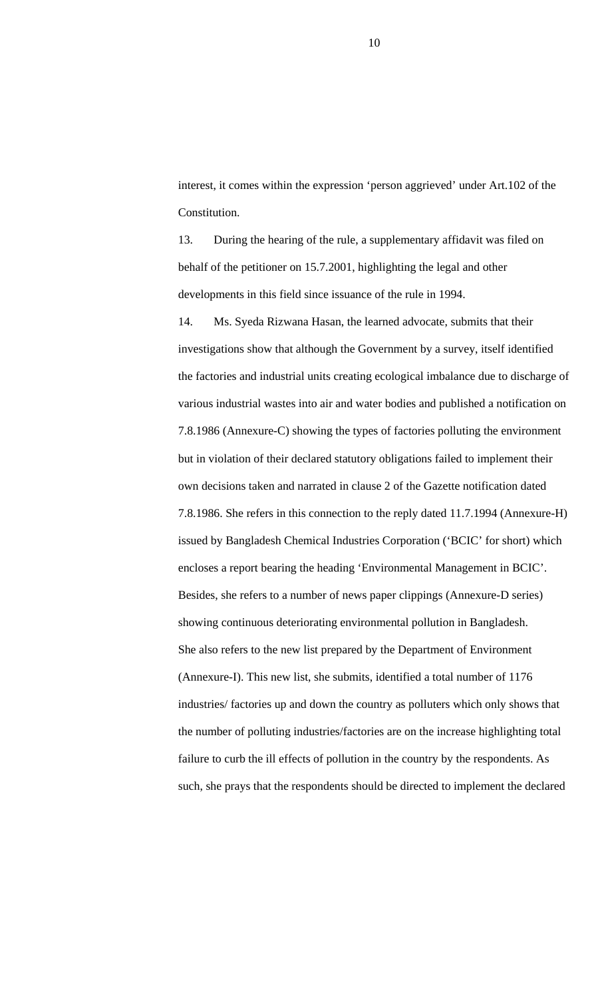interest, it comes within the expression 'person aggrieved' under Art.102 of the Constitution.

13. During the hearing of the rule, a supplementary affidavit was filed on behalf of the petitioner on 15.7.2001, highlighting the legal and other developments in this field since issuance of the rule in 1994.

14. Ms. Syeda Rizwana Hasan, the learned advocate, submits that their investigations show that although the Government by a survey, itself identified the factories and industrial units creating ecological imbalance due to discharge of various industrial wastes into air and water bodies and published a notification on 7.8.1986 (Annexure-C) showing the types of factories polluting the environment but in violation of their declared statutory obligations failed to implement their own decisions taken and narrated in clause 2 of the Gazette notification dated 7.8.1986. She refers in this connection to the reply dated 11.7.1994 (Annexure-H) issued by Bangladesh Chemical Industries Corporation ('BCIC' for short) which encloses a report bearing the heading 'Environmental Management in BCIC'. Besides, she refers to a number of news paper clippings (Annexure-D series) showing continuous deteriorating environmental pollution in Bangladesh. She also refers to the new list prepared by the Department of Environment (Annexure-I). This new list, she submits, identified a total number of 1176 industries/ factories up and down the country as polluters which only shows that the number of polluting industries/factories are on the increase highlighting total failure to curb the ill effects of pollution in the country by the respondents. As such, she prays that the respondents should be directed to implement the declared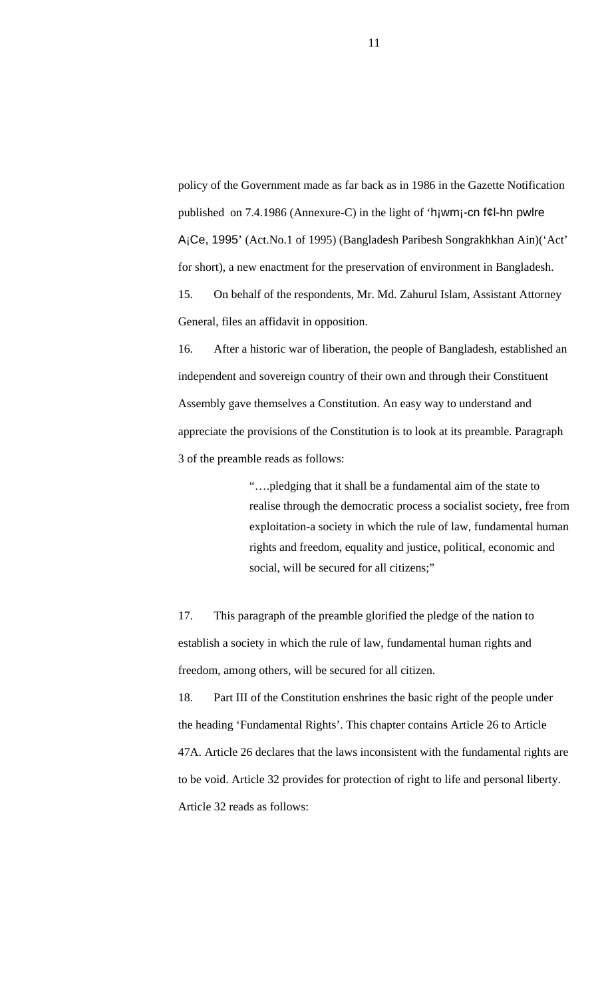policy of the Government made as far back as in 1986 in the Gazette Notification published on 7.4.1986 (Annexure-C) in the light of 'h¡wm¡-cn f¢l-hn pwlre A¡Ce, 1995' (Act.No.1 of 1995) (Bangladesh Paribesh Songrakhkhan Ain)('Act' for short), a new enactment for the preservation of environment in Bangladesh. 15. On behalf of the respondents, Mr. Md. Zahurul Islam, Assistant Attorney

General, files an affidavit in opposition.

16. After a historic war of liberation, the people of Bangladesh, established an independent and sovereign country of their own and through their Constituent Assembly gave themselves a Constitution. An easy way to understand and appreciate the provisions of the Constitution is to look at its preamble. Paragraph 3 of the preamble reads as follows:

> "….pledging that it shall be a fundamental aim of the state to realise through the democratic process a socialist society, free from exploitation-a society in which the rule of law, fundamental human rights and freedom, equality and justice, political, economic and social, will be secured for all citizens;"

17. This paragraph of the preamble glorified the pledge of the nation to establish a society in which the rule of law, fundamental human rights and freedom, among others, will be secured for all citizen.

18. Part III of the Constitution enshrines the basic right of the people under the heading 'Fundamental Rights'. This chapter contains Article 26 to Article 47A. Article 26 declares that the laws inconsistent with the fundamental rights are to be void. Article 32 provides for protection of right to life and personal liberty. Article 32 reads as follows: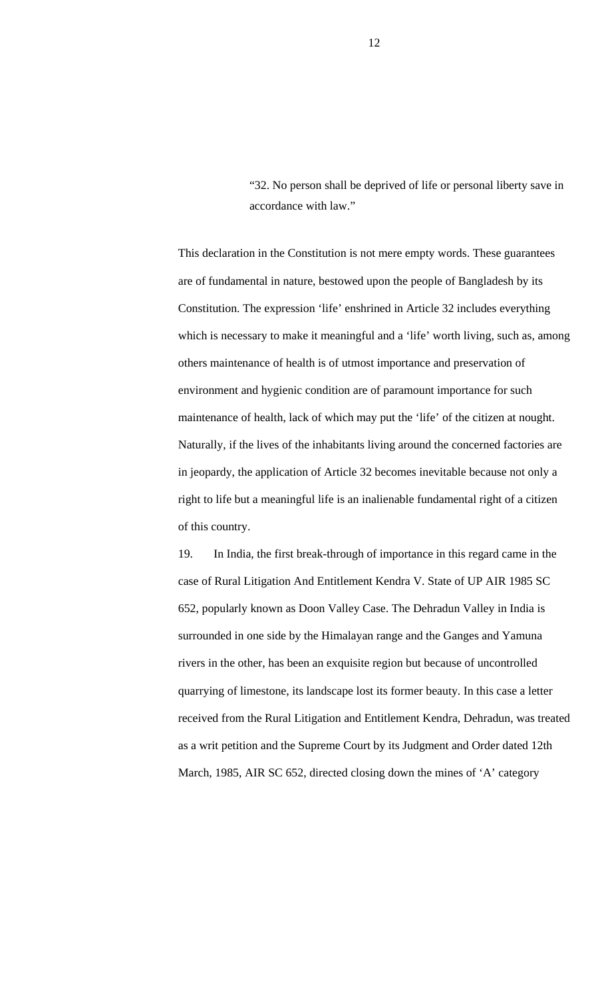"32. No person shall be deprived of life or personal liberty save in accordance with law."

This declaration in the Constitution is not mere empty words. These guarantees are of fundamental in nature, bestowed upon the people of Bangladesh by its Constitution. The expression 'life' enshrined in Article 32 includes everything which is necessary to make it meaningful and a 'life' worth living, such as, among others maintenance of health is of utmost importance and preservation of environment and hygienic condition are of paramount importance for such maintenance of health, lack of which may put the 'life' of the citizen at nought. Naturally, if the lives of the inhabitants living around the concerned factories are in jeopardy, the application of Article 32 becomes inevitable because not only a right to life but a meaningful life is an inalienable fundamental right of a citizen of this country.

19. In India, the first break-through of importance in this regard came in the case of Rural Litigation And Entitlement Kendra V. State of UP AIR 1985 SC 652, popularly known as Doon Valley Case. The Dehradun Valley in India is surrounded in one side by the Himalayan range and the Ganges and Yamuna rivers in the other, has been an exquisite region but because of uncontrolled quarrying of limestone, its landscape lost its former beauty. In this case a letter received from the Rural Litigation and Entitlement Kendra, Dehradun, was treated as a writ petition and the Supreme Court by its Judgment and Order dated 12th March, 1985, AIR SC 652, directed closing down the mines of 'A' category

12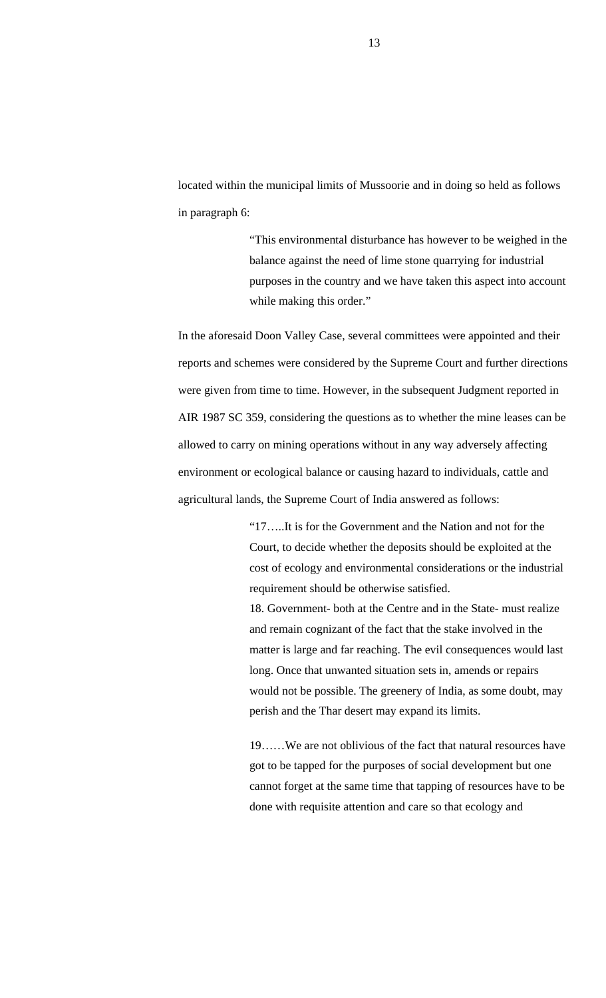located within the municipal limits of Mussoorie and in doing so held as follows in paragraph 6:

> "This environmental disturbance has however to be weighed in the balance against the need of lime stone quarrying for industrial purposes in the country and we have taken this aspect into account while making this order."

In the aforesaid Doon Valley Case, several committees were appointed and their reports and schemes were considered by the Supreme Court and further directions were given from time to time. However, in the subsequent Judgment reported in AIR 1987 SC 359, considering the questions as to whether the mine leases can be allowed to carry on mining operations without in any way adversely affecting environment or ecological balance or causing hazard to individuals, cattle and agricultural lands, the Supreme Court of India answered as follows:

> "17…..It is for the Government and the Nation and not for the Court, to decide whether the deposits should be exploited at the cost of ecology and environmental considerations or the industrial requirement should be otherwise satisfied.

> 18. Government- both at the Centre and in the State- must realize and remain cognizant of the fact that the stake involved in the matter is large and far reaching. The evil consequences would last long. Once that unwanted situation sets in, amends or repairs would not be possible. The greenery of India, as some doubt, may perish and the Thar desert may expand its limits.

> 19……We are not oblivious of the fact that natural resources have got to be tapped for the purposes of social development but one cannot forget at the same time that tapping of resources have to be done with requisite attention and care so that ecology and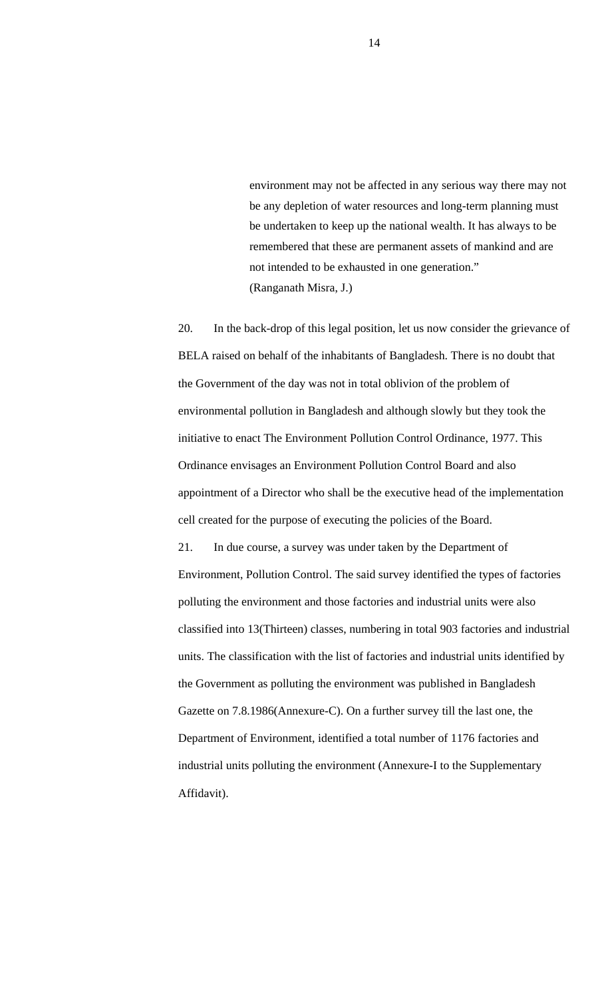environment may not be affected in any serious way there may not be any depletion of water resources and long-term planning must be undertaken to keep up the national wealth. It has always to be remembered that these are permanent assets of mankind and are not intended to be exhausted in one generation." (Ranganath Misra, J.)

20. In the back-drop of this legal position, let us now consider the grievance of BELA raised on behalf of the inhabitants of Bangladesh. There is no doubt that the Government of the day was not in total oblivion of the problem of environmental pollution in Bangladesh and although slowly but they took the initiative to enact The Environment Pollution Control Ordinance, 1977. This Ordinance envisages an Environment Pollution Control Board and also appointment of a Director who shall be the executive head of the implementation cell created for the purpose of executing the policies of the Board.

21. In due course, a survey was under taken by the Department of Environment, Pollution Control. The said survey identified the types of factories polluting the environment and those factories and industrial units were also classified into 13(Thirteen) classes, numbering in total 903 factories and industrial units. The classification with the list of factories and industrial units identified by the Government as polluting the environment was published in Bangladesh Gazette on 7.8.1986(Annexure-C). On a further survey till the last one, the Department of Environment, identified a total number of 1176 factories and industrial units polluting the environment (Annexure-I to the Supplementary Affidavit).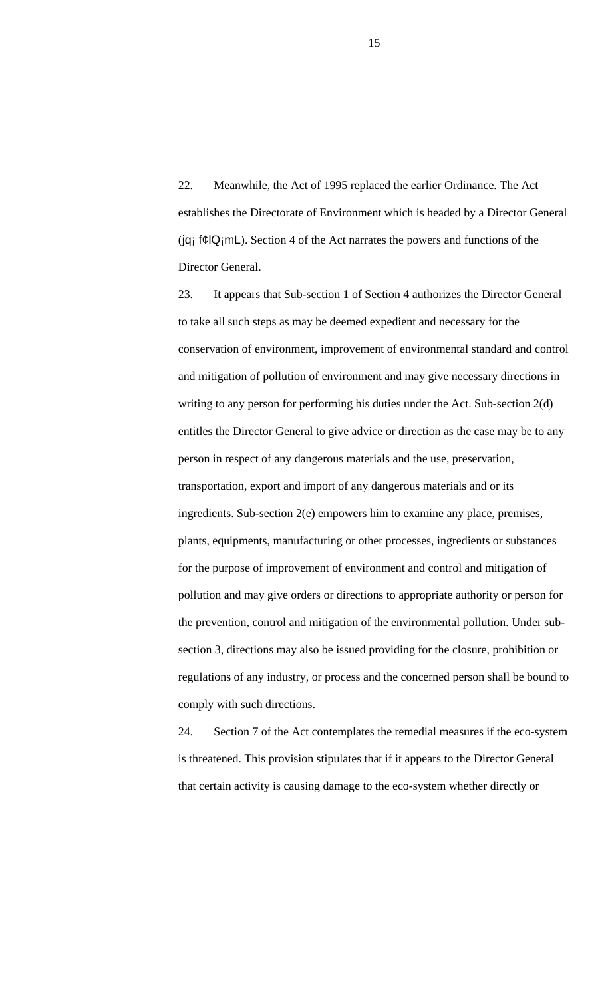22. Meanwhile, the Act of 1995 replaced the earlier Ordinance. The Act establishes the Directorate of Environment which is headed by a Director General  $(iq<sub>i</sub> f¢<sub>i</sub>Q<sub>i</sub> mL)$ . Section 4 of the Act narrates the powers and functions of the Director General.

23. It appears that Sub-section 1 of Section 4 authorizes the Director General to take all such steps as may be deemed expedient and necessary for the conservation of environment, improvement of environmental standard and control and mitigation of pollution of environment and may give necessary directions in writing to any person for performing his duties under the Act. Sub-section 2(d) entitles the Director General to give advice or direction as the case may be to any person in respect of any dangerous materials and the use, preservation, transportation, export and import of any dangerous materials and or its ingredients. Sub-section 2(e) empowers him to examine any place, premises, plants, equipments, manufacturing or other processes, ingredients or substances for the purpose of improvement of environment and control and mitigation of pollution and may give orders or directions to appropriate authority or person for the prevention, control and mitigation of the environmental pollution. Under subsection 3, directions may also be issued providing for the closure, prohibition or regulations of any industry, or process and the concerned person shall be bound to comply with such directions.

24. Section 7 of the Act contemplates the remedial measures if the eco-system is threatened. This provision stipulates that if it appears to the Director General that certain activity is causing damage to the eco-system whether directly or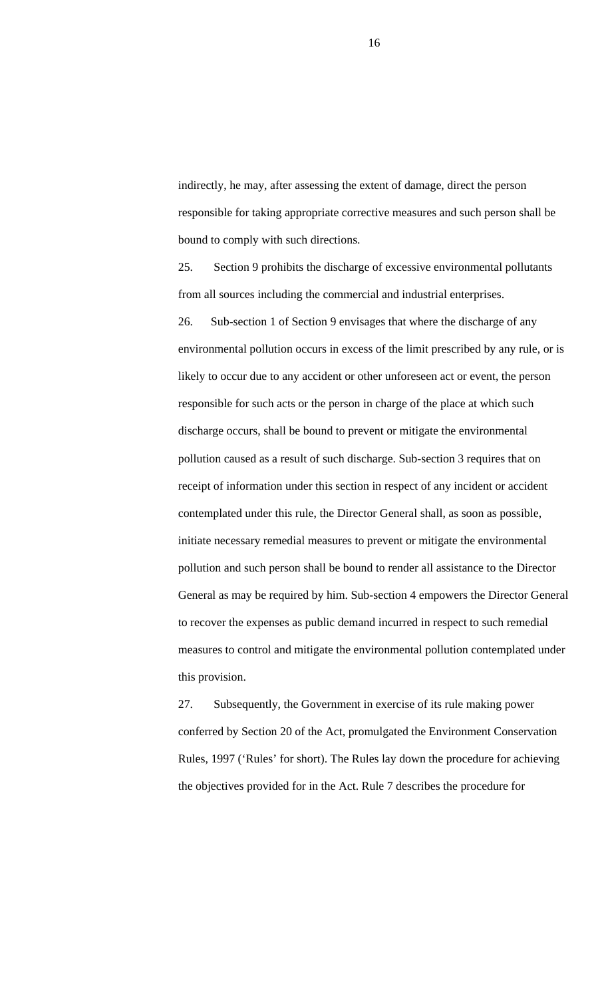indirectly, he may, after assessing the extent of damage, direct the person responsible for taking appropriate corrective measures and such person shall be bound to comply with such directions.

25. Section 9 prohibits the discharge of excessive environmental pollutants from all sources including the commercial and industrial enterprises.

26. Sub-section 1 of Section 9 envisages that where the discharge of any environmental pollution occurs in excess of the limit prescribed by any rule, or is likely to occur due to any accident or other unforeseen act or event, the person responsible for such acts or the person in charge of the place at which such discharge occurs, shall be bound to prevent or mitigate the environmental pollution caused as a result of such discharge. Sub-section 3 requires that on receipt of information under this section in respect of any incident or accident contemplated under this rule, the Director General shall, as soon as possible, initiate necessary remedial measures to prevent or mitigate the environmental pollution and such person shall be bound to render all assistance to the Director General as may be required by him. Sub-section 4 empowers the Director General to recover the expenses as public demand incurred in respect to such remedial measures to control and mitigate the environmental pollution contemplated under this provision.

27. Subsequently, the Government in exercise of its rule making power conferred by Section 20 of the Act, promulgated the Environment Conservation Rules, 1997 ('Rules' for short). The Rules lay down the procedure for achieving the objectives provided for in the Act. Rule 7 describes the procedure for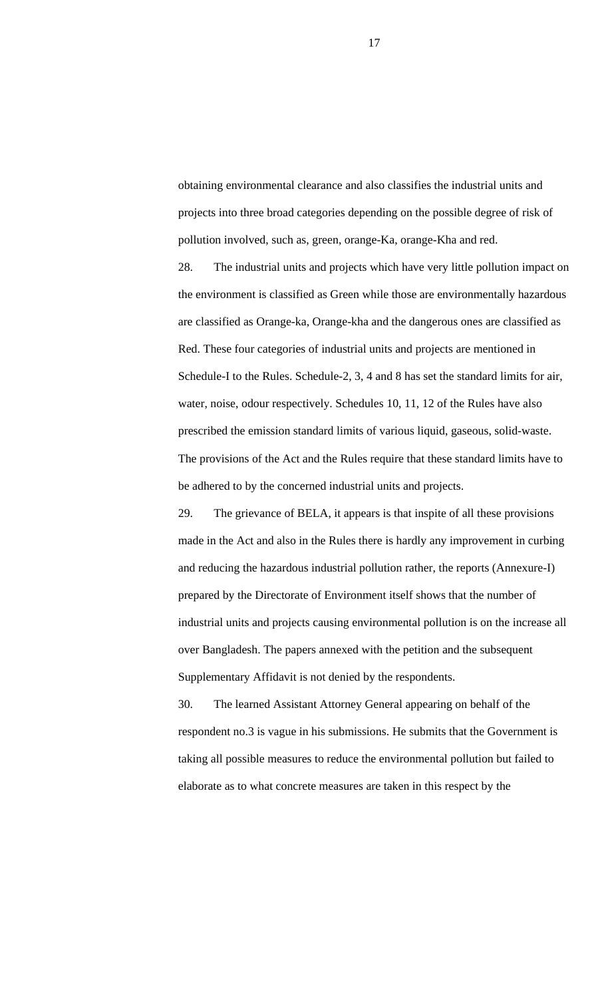obtaining environmental clearance and also classifies the industrial units and projects into three broad categories depending on the possible degree of risk of pollution involved, such as, green, orange-Ka, orange-Kha and red.

28. The industrial units and projects which have very little pollution impact on the environment is classified as Green while those are environmentally hazardous are classified as Orange-ka, Orange-kha and the dangerous ones are classified as Red. These four categories of industrial units and projects are mentioned in Schedule-I to the Rules. Schedule-2, 3, 4 and 8 has set the standard limits for air, water, noise, odour respectively. Schedules 10, 11, 12 of the Rules have also prescribed the emission standard limits of various liquid, gaseous, solid-waste. The provisions of the Act and the Rules require that these standard limits have to be adhered to by the concerned industrial units and projects.

29. The grievance of BELA, it appears is that inspite of all these provisions made in the Act and also in the Rules there is hardly any improvement in curbing and reducing the hazardous industrial pollution rather, the reports (Annexure-I) prepared by the Directorate of Environment itself shows that the number of industrial units and projects causing environmental pollution is on the increase all over Bangladesh. The papers annexed with the petition and the subsequent Supplementary Affidavit is not denied by the respondents.

30. The learned Assistant Attorney General appearing on behalf of the respondent no.3 is vague in his submissions. He submits that the Government is taking all possible measures to reduce the environmental pollution but failed to elaborate as to what concrete measures are taken in this respect by the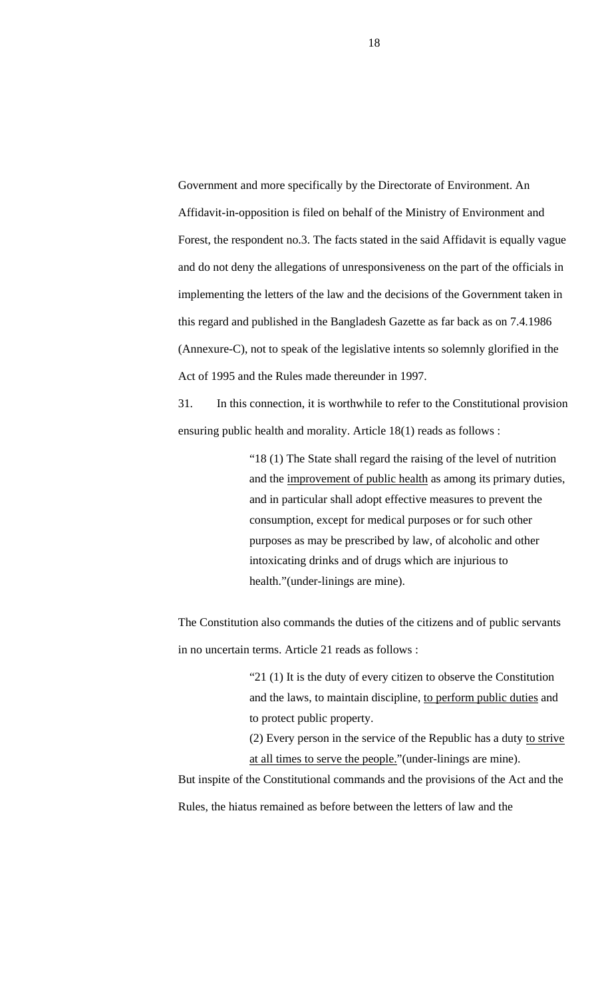Government and more specifically by the Directorate of Environment. An Affidavit-in-opposition is filed on behalf of the Ministry of Environment and Forest, the respondent no.3. The facts stated in the said Affidavit is equally vague and do not deny the allegations of unresponsiveness on the part of the officials in implementing the letters of the law and the decisions of the Government taken in this regard and published in the Bangladesh Gazette as far back as on 7.4.1986 (Annexure-C), not to speak of the legislative intents so solemnly glorified in the Act of 1995 and the Rules made thereunder in 1997.

31. In this connection, it is worthwhile to refer to the Constitutional provision ensuring public health and morality. Article 18(1) reads as follows :

> "18 (1) The State shall regard the raising of the level of nutrition and the improvement of public health as among its primary duties, and in particular shall adopt effective measures to prevent the consumption, except for medical purposes or for such other purposes as may be prescribed by law, of alcoholic and other intoxicating drinks and of drugs which are injurious to health."(under-linings are mine).

The Constitution also commands the duties of the citizens and of public servants in no uncertain terms. Article 21 reads as follows :

> "21 (1) It is the duty of every citizen to observe the Constitution and the laws, to maintain discipline, to perform public duties and to protect public property.

(2) Every person in the service of the Republic has a duty to strive at all times to serve the people."(under-linings are mine).

But inspite of the Constitutional commands and the provisions of the Act and the Rules, the hiatus remained as before between the letters of law and the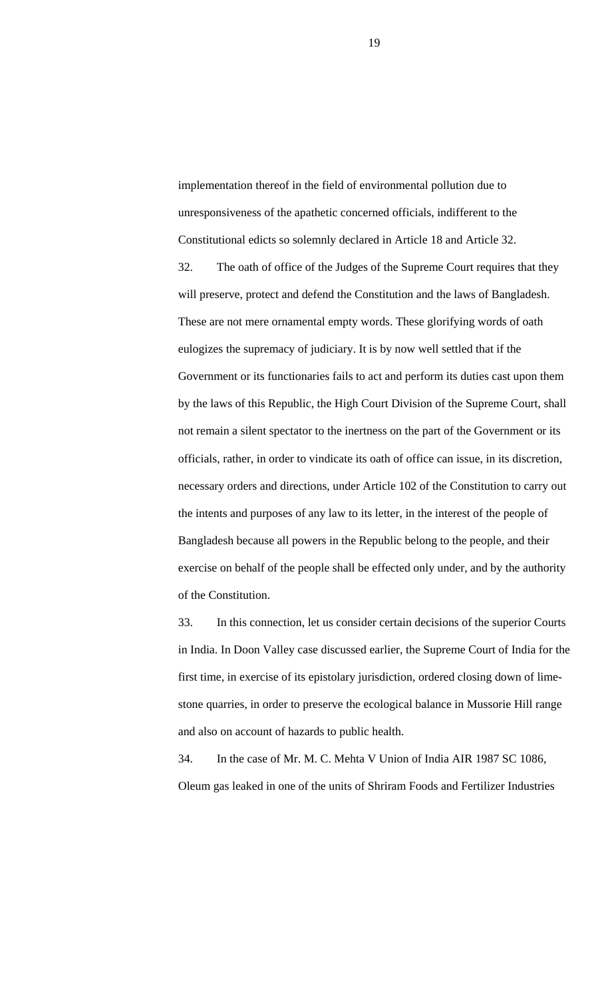implementation thereof in the field of environmental pollution due to unresponsiveness of the apathetic concerned officials, indifferent to the Constitutional edicts so solemnly declared in Article 18 and Article 32.

32. The oath of office of the Judges of the Supreme Court requires that they will preserve, protect and defend the Constitution and the laws of Bangladesh. These are not mere ornamental empty words. These glorifying words of oath eulogizes the supremacy of judiciary. It is by now well settled that if the Government or its functionaries fails to act and perform its duties cast upon them by the laws of this Republic, the High Court Division of the Supreme Court, shall not remain a silent spectator to the inertness on the part of the Government or its officials, rather, in order to vindicate its oath of office can issue, in its discretion, necessary orders and directions, under Article 102 of the Constitution to carry out the intents and purposes of any law to its letter, in the interest of the people of Bangladesh because all powers in the Republic belong to the people, and their exercise on behalf of the people shall be effected only under, and by the authority of the Constitution.

33. In this connection, let us consider certain decisions of the superior Courts in India. In Doon Valley case discussed earlier, the Supreme Court of India for the first time, in exercise of its epistolary jurisdiction, ordered closing down of limestone quarries, in order to preserve the ecological balance in Mussorie Hill range and also on account of hazards to public health.

34. In the case of Mr. M. C. Mehta V Union of India AIR 1987 SC 1086, Oleum gas leaked in one of the units of Shriram Foods and Fertilizer Industries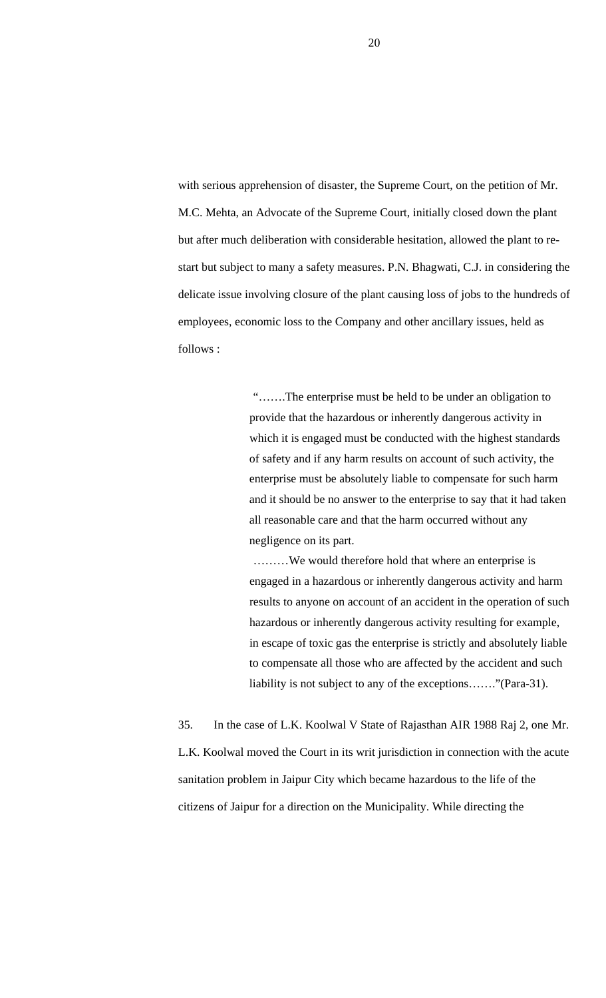with serious apprehension of disaster, the Supreme Court, on the petition of Mr. M.C. Mehta, an Advocate of the Supreme Court, initially closed down the plant but after much deliberation with considerable hesitation, allowed the plant to restart but subject to many a safety measures. P.N. Bhagwati, C.J. in considering the delicate issue involving closure of the plant causing loss of jobs to the hundreds of employees, economic loss to the Company and other ancillary issues, held as follows :

> "…….The enterprise must be held to be under an obligation to provide that the hazardous or inherently dangerous activity in which it is engaged must be conducted with the highest standards of safety and if any harm results on account of such activity, the enterprise must be absolutely liable to compensate for such harm and it should be no answer to the enterprise to say that it had taken all reasonable care and that the harm occurred without any negligence on its part.

………We would therefore hold that where an enterprise is engaged in a hazardous or inherently dangerous activity and harm results to anyone on account of an accident in the operation of such hazardous or inherently dangerous activity resulting for example, in escape of toxic gas the enterprise is strictly and absolutely liable to compensate all those who are affected by the accident and such liability is not subject to any of the exceptions……."(Para-31).

35. In the case of L.K. Koolwal V State of Rajasthan AIR 1988 Raj 2, one Mr. L.K. Koolwal moved the Court in its writ jurisdiction in connection with the acute sanitation problem in Jaipur City which became hazardous to the life of the citizens of Jaipur for a direction on the Municipality. While directing the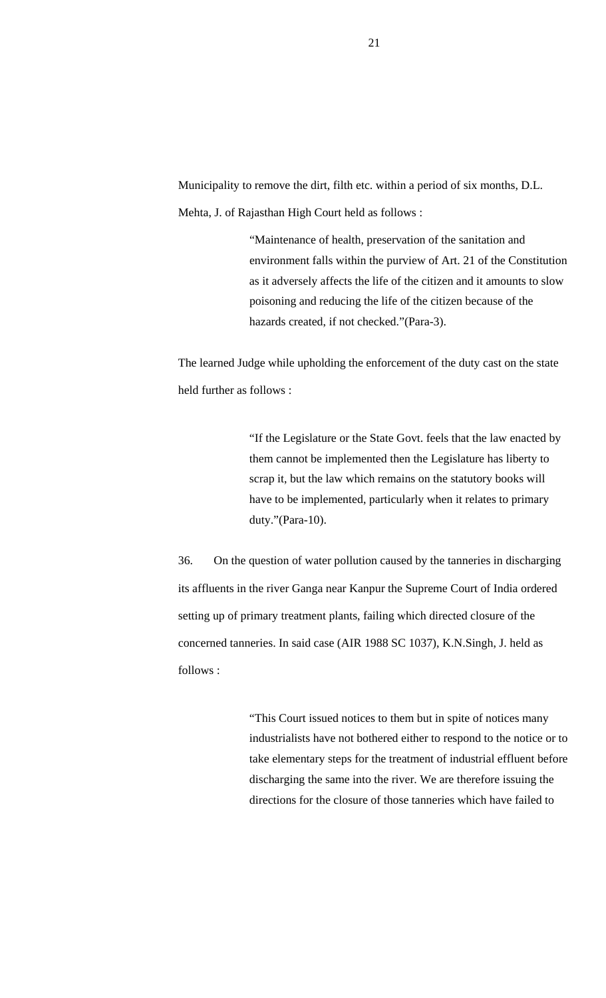Municipality to remove the dirt, filth etc. within a period of six months, D.L. Mehta, J. of Rajasthan High Court held as follows :

> "Maintenance of health, preservation of the sanitation and environment falls within the purview of Art. 21 of the Constitution as it adversely affects the life of the citizen and it amounts to slow poisoning and reducing the life of the citizen because of the hazards created, if not checked."(Para-3).

The learned Judge while upholding the enforcement of the duty cast on the state held further as follows :

> "If the Legislature or the State Govt. feels that the law enacted by them cannot be implemented then the Legislature has liberty to scrap it, but the law which remains on the statutory books will have to be implemented, particularly when it relates to primary duty."(Para-10).

36. On the question of water pollution caused by the tanneries in discharging its affluents in the river Ganga near Kanpur the Supreme Court of India ordered setting up of primary treatment plants, failing which directed closure of the concerned tanneries. In said case (AIR 1988 SC 1037), K.N.Singh, J. held as follows :

> "This Court issued notices to them but in spite of notices many industrialists have not bothered either to respond to the notice or to take elementary steps for the treatment of industrial effluent before discharging the same into the river. We are therefore issuing the directions for the closure of those tanneries which have failed to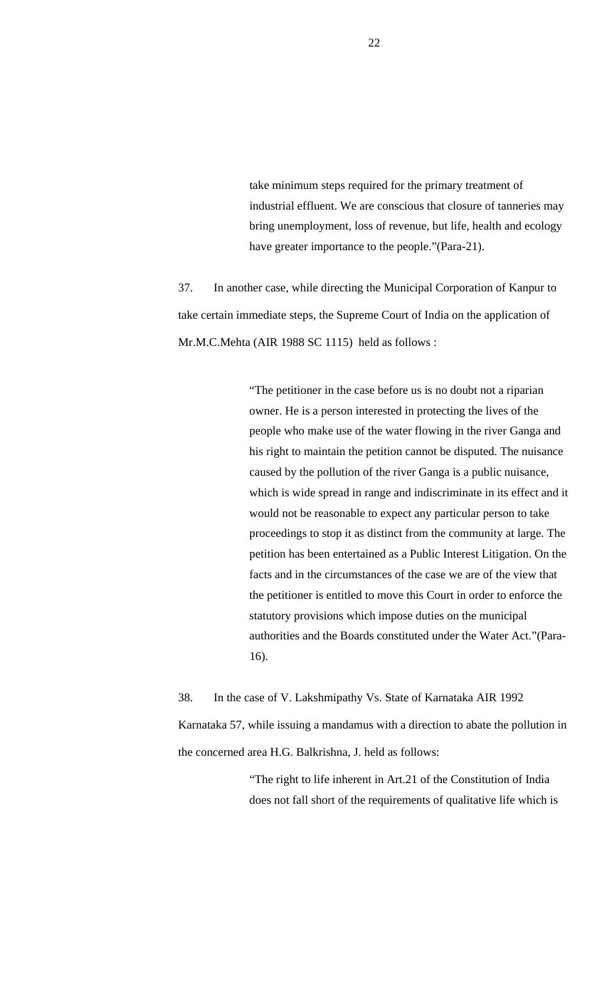take minimum steps required for the primary treatment of industrial effluent. We are conscious that closure of tanneries may bring unemployment, loss of revenue, but life, health and ecology have greater importance to the people."(Para-21).

37. In another case, while directing the Municipal Corporation of Kanpur to take certain immediate steps, the Supreme Court of India on the application of Mr.M.C.Mehta (AIR 1988 SC 1115) held as follows :

> "The petitioner in the case before us is no doubt not a riparian owner. He is a person interested in protecting the lives of the people who make use of the water flowing in the river Ganga and his right to maintain the petition cannot be disputed. The nuisance caused by the pollution of the river Ganga is a public nuisance, which is wide spread in range and indiscriminate in its effect and it would not be reasonable to expect any particular person to take proceedings to stop it as distinct from the community at large. The petition has been entertained as a Public Interest Litigation. On the facts and in the circumstances of the case we are of the view that the petitioner is entitled to move this Court in order to enforce the statutory provisions which impose duties on the municipal authorities and the Boards constituted under the Water Act."(Para-16).

38. In the case of V. Lakshmipathy Vs. State of Karnataka AIR 1992 Karnataka 57, while issuing a mandamus with a direction to abate the pollution in the concerned area H.G. Balkrishna, J. held as follows:

> "The right to life inherent in Art.21 of the Constitution of India does not fall short of the requirements of qualitative life which is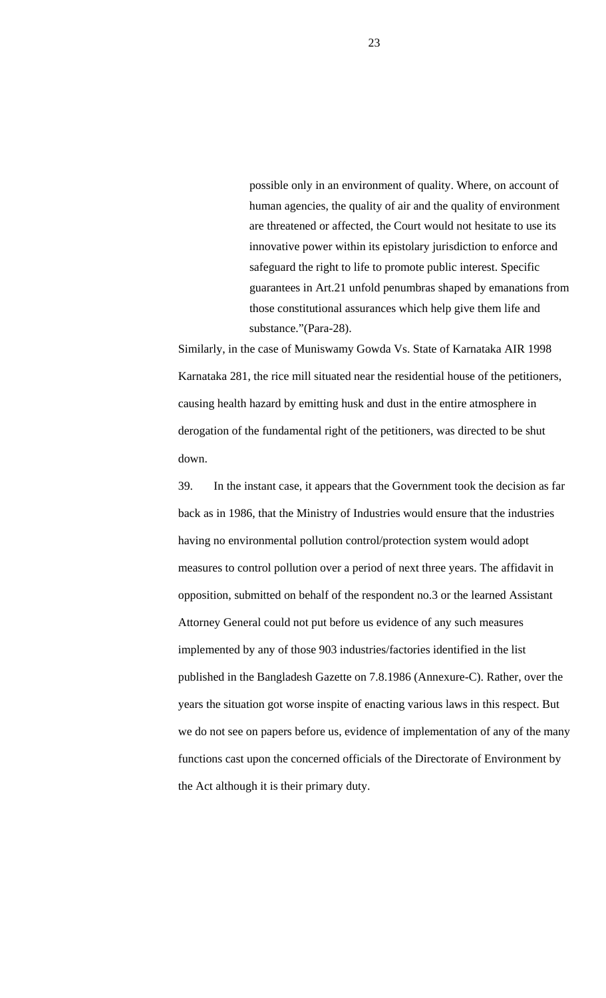possible only in an environment of quality. Where, on account of human agencies, the quality of air and the quality of environment are threatened or affected, the Court would not hesitate to use its innovative power within its epistolary jurisdiction to enforce and safeguard the right to life to promote public interest. Specific guarantees in Art.21 unfold penumbras shaped by emanations from those constitutional assurances which help give them life and substance."(Para-28).

Similarly, in the case of Muniswamy Gowda Vs. State of Karnataka AIR 1998 Karnataka 281, the rice mill situated near the residential house of the petitioners, causing health hazard by emitting husk and dust in the entire atmosphere in derogation of the fundamental right of the petitioners, was directed to be shut down.

39. In the instant case, it appears that the Government took the decision as far back as in 1986, that the Ministry of Industries would ensure that the industries having no environmental pollution control/protection system would adopt measures to control pollution over a period of next three years. The affidavit in opposition, submitted on behalf of the respondent no.3 or the learned Assistant Attorney General could not put before us evidence of any such measures implemented by any of those 903 industries/factories identified in the list published in the Bangladesh Gazette on 7.8.1986 (Annexure-C). Rather, over the years the situation got worse inspite of enacting various laws in this respect. But we do not see on papers before us, evidence of implementation of any of the many functions cast upon the concerned officials of the Directorate of Environment by the Act although it is their primary duty.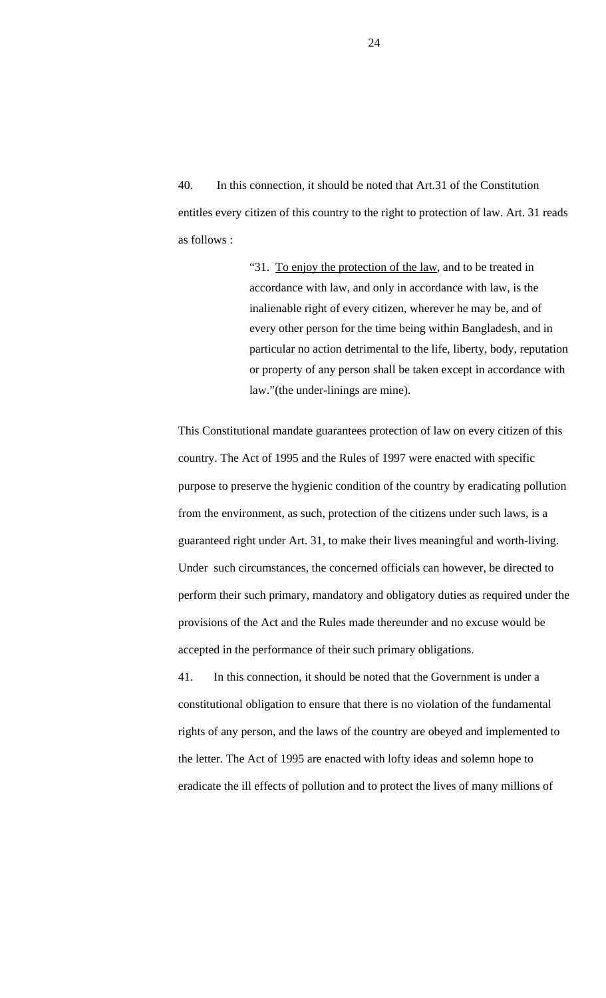40. In this connection, it should be noted that Art.31 of the Constitution entitles every citizen of this country to the right to protection of law. Art. 31 reads as follows :

> "31. To enjoy the protection of the law, and to be treated in accordance with law, and only in accordance with law, is the inalienable right of every citizen, wherever he may be, and of every other person for the time being within Bangladesh, and in particular no action detrimental to the life, liberty, body, reputation or property of any person shall be taken except in accordance with law."(the under-linings are mine).

This Constitutional mandate guarantees protection of law on every citizen of this country. The Act of 1995 and the Rules of 1997 were enacted with specific purpose to preserve the hygienic condition of the country by eradicating pollution from the environment, as such, protection of the citizens under such laws, is a guaranteed right under Art. 31, to make their lives meaningful and worth-living. Under such circumstances, the concerned officials can however, be directed to perform their such primary, mandatory and obligatory duties as required under the provisions of the Act and the Rules made thereunder and no excuse would be accepted in the performance of their such primary obligations.

41. In this connection, it should be noted that the Government is under a constitutional obligation to ensure that there is no violation of the fundamental rights of any person, and the laws of the country are obeyed and implemented to the letter. The Act of 1995 are enacted with lofty ideas and solemn hope to eradicate the ill effects of pollution and to protect the lives of many millions of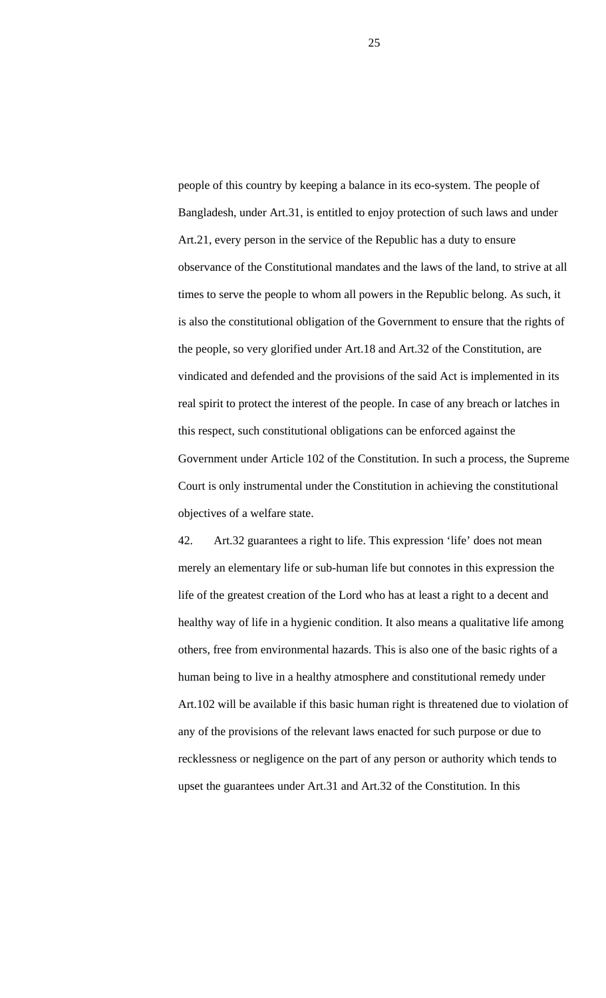people of this country by keeping a balance in its eco-system. The people of Bangladesh, under Art.31, is entitled to enjoy protection of such laws and under Art.21, every person in the service of the Republic has a duty to ensure observance of the Constitutional mandates and the laws of the land, to strive at all times to serve the people to whom all powers in the Republic belong. As such, it is also the constitutional obligation of the Government to ensure that the rights of the people, so very glorified under Art.18 and Art.32 of the Constitution, are vindicated and defended and the provisions of the said Act is implemented in its real spirit to protect the interest of the people. In case of any breach or latches in this respect, such constitutional obligations can be enforced against the Government under Article 102 of the Constitution. In such a process, the Supreme Court is only instrumental under the Constitution in achieving the constitutional objectives of a welfare state.

42. Art.32 guarantees a right to life. This expression 'life' does not mean merely an elementary life or sub-human life but connotes in this expression the life of the greatest creation of the Lord who has at least a right to a decent and healthy way of life in a hygienic condition. It also means a qualitative life among others, free from environmental hazards. This is also one of the basic rights of a human being to live in a healthy atmosphere and constitutional remedy under Art.102 will be available if this basic human right is threatened due to violation of any of the provisions of the relevant laws enacted for such purpose or due to recklessness or negligence on the part of any person or authority which tends to upset the guarantees under Art.31 and Art.32 of the Constitution. In this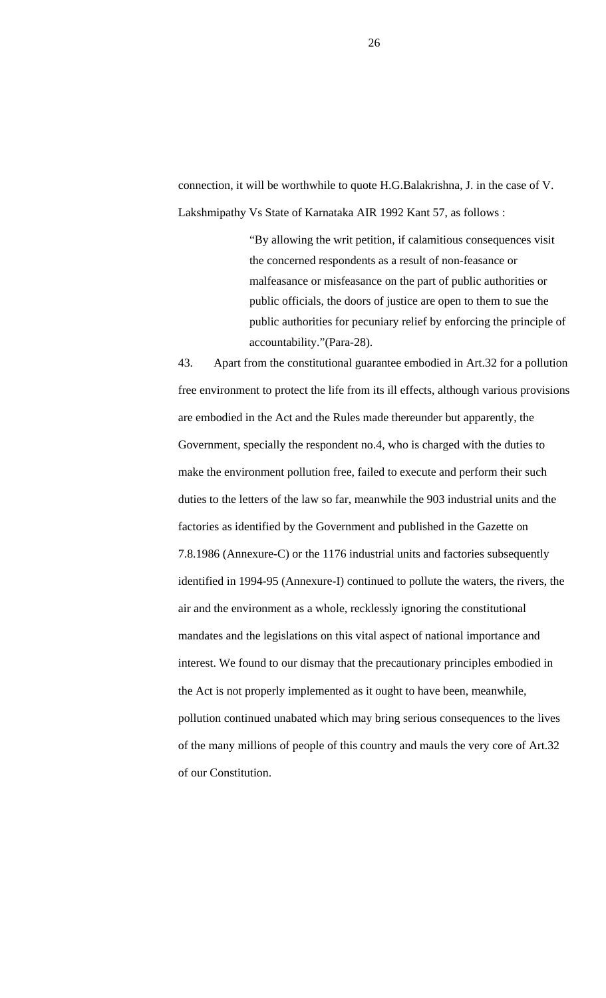connection, it will be worthwhile to quote H.G.Balakrishna, J. in the case of V. Lakshmipathy Vs State of Karnataka AIR 1992 Kant 57, as follows :

> "By allowing the writ petition, if calamitious consequences visit the concerned respondents as a result of non-feasance or malfeasance or misfeasance on the part of public authorities or public officials, the doors of justice are open to them to sue the public authorities for pecuniary relief by enforcing the principle of accountability."(Para-28).

43. Apart from the constitutional guarantee embodied in Art.32 for a pollution free environment to protect the life from its ill effects, although various provisions are embodied in the Act and the Rules made thereunder but apparently, the Government, specially the respondent no.4, who is charged with the duties to make the environment pollution free, failed to execute and perform their such duties to the letters of the law so far, meanwhile the 903 industrial units and the factories as identified by the Government and published in the Gazette on 7.8.1986 (Annexure-C) or the 1176 industrial units and factories subsequently identified in 1994-95 (Annexure-I) continued to pollute the waters, the rivers, the air and the environment as a whole, recklessly ignoring the constitutional mandates and the legislations on this vital aspect of national importance and interest. We found to our dismay that the precautionary principles embodied in the Act is not properly implemented as it ought to have been, meanwhile, pollution continued unabated which may bring serious consequences to the lives of the many millions of people of this country and mauls the very core of Art.32 of our Constitution.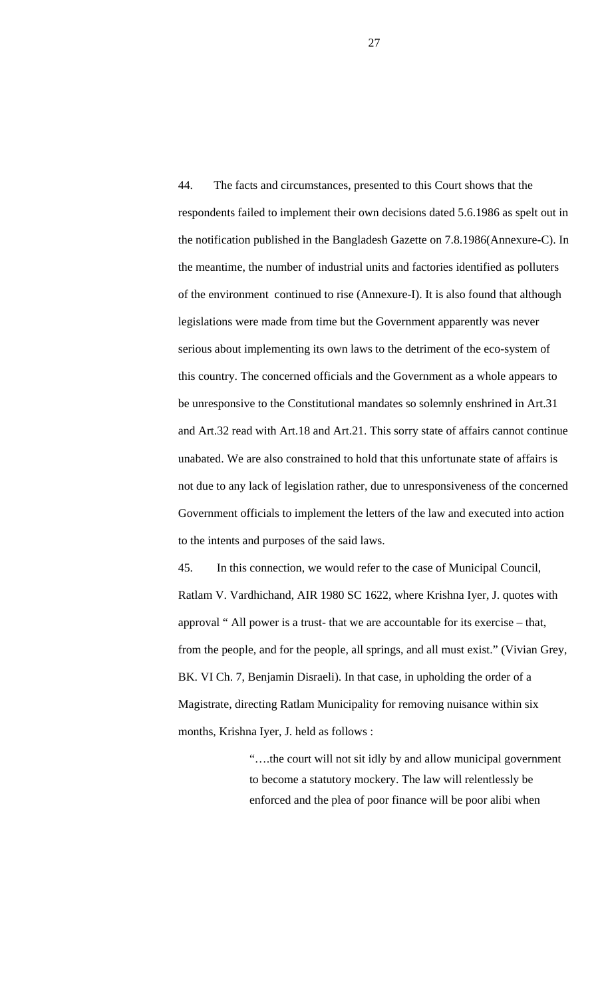44. The facts and circumstances, presented to this Court shows that the respondents failed to implement their own decisions dated 5.6.1986 as spelt out in the notification published in the Bangladesh Gazette on 7.8.1986(Annexure-C). In the meantime, the number of industrial units and factories identified as polluters of the environment continued to rise (Annexure-I). It is also found that although legislations were made from time but the Government apparently was never serious about implementing its own laws to the detriment of the eco-system of this country. The concerned officials and the Government as a whole appears to be unresponsive to the Constitutional mandates so solemnly enshrined in Art.31 and Art.32 read with Art.18 and Art.21. This sorry state of affairs cannot continue unabated. We are also constrained to hold that this unfortunate state of affairs is not due to any lack of legislation rather, due to unresponsiveness of the concerned Government officials to implement the letters of the law and executed into action to the intents and purposes of the said laws.

45. In this connection, we would refer to the case of Municipal Council, Ratlam V. Vardhichand, AIR 1980 SC 1622, where Krishna Iyer, J. quotes with approval " All power is a trust- that we are accountable for its exercise – that, from the people, and for the people, all springs, and all must exist." (Vivian Grey, BK. VI Ch. 7, Benjamin Disraeli). In that case, in upholding the order of a Magistrate, directing Ratlam Municipality for removing nuisance within six months, Krishna Iyer, J. held as follows :

> "….the court will not sit idly by and allow municipal government to become a statutory mockery. The law will relentlessly be enforced and the plea of poor finance will be poor alibi when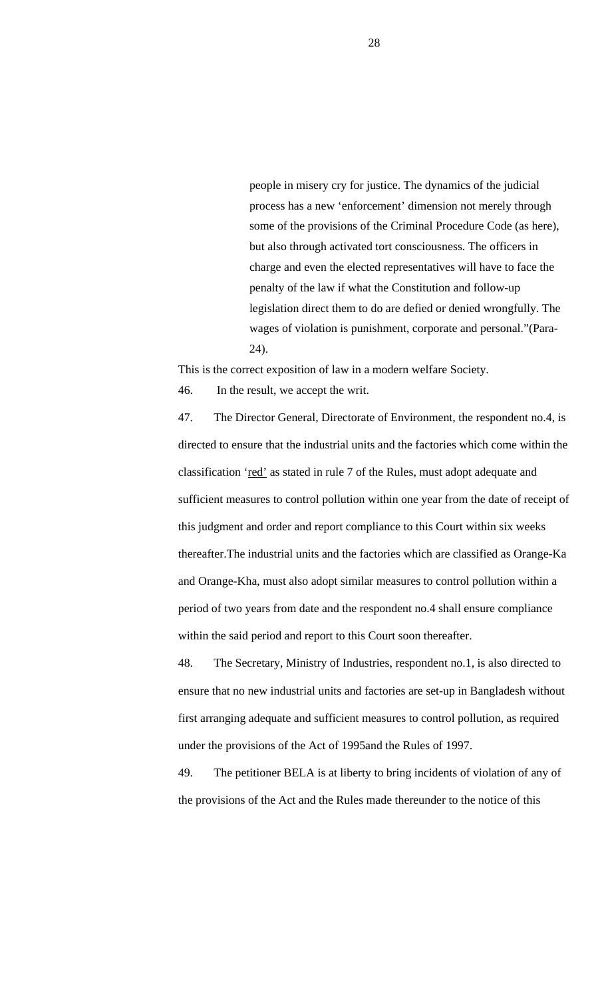people in misery cry for justice. The dynamics of the judicial process has a new 'enforcement' dimension not merely through some of the provisions of the Criminal Procedure Code (as here), but also through activated tort consciousness. The officers in charge and even the elected representatives will have to face the penalty of the law if what the Constitution and follow-up legislation direct them to do are defied or denied wrongfully. The wages of violation is punishment, corporate and personal."(Para-24).

This is the correct exposition of law in a modern welfare Society.

46. In the result, we accept the writ.

47. The Director General, Directorate of Environment, the respondent no.4, is directed to ensure that the industrial units and the factories which come within the classification 'red' as stated in rule 7 of the Rules, must adopt adequate and sufficient measures to control pollution within one year from the date of receipt of this judgment and order and report compliance to this Court within six weeks thereafter.The industrial units and the factories which are classified as Orange-Ka and Orange-Kha, must also adopt similar measures to control pollution within a period of two years from date and the respondent no.4 shall ensure compliance within the said period and report to this Court soon thereafter.

48. The Secretary, Ministry of Industries, respondent no.1, is also directed to ensure that no new industrial units and factories are set-up in Bangladesh without first arranging adequate and sufficient measures to control pollution, as required under the provisions of the Act of 1995and the Rules of 1997.

49. The petitioner BELA is at liberty to bring incidents of violation of any of the provisions of the Act and the Rules made thereunder to the notice of this